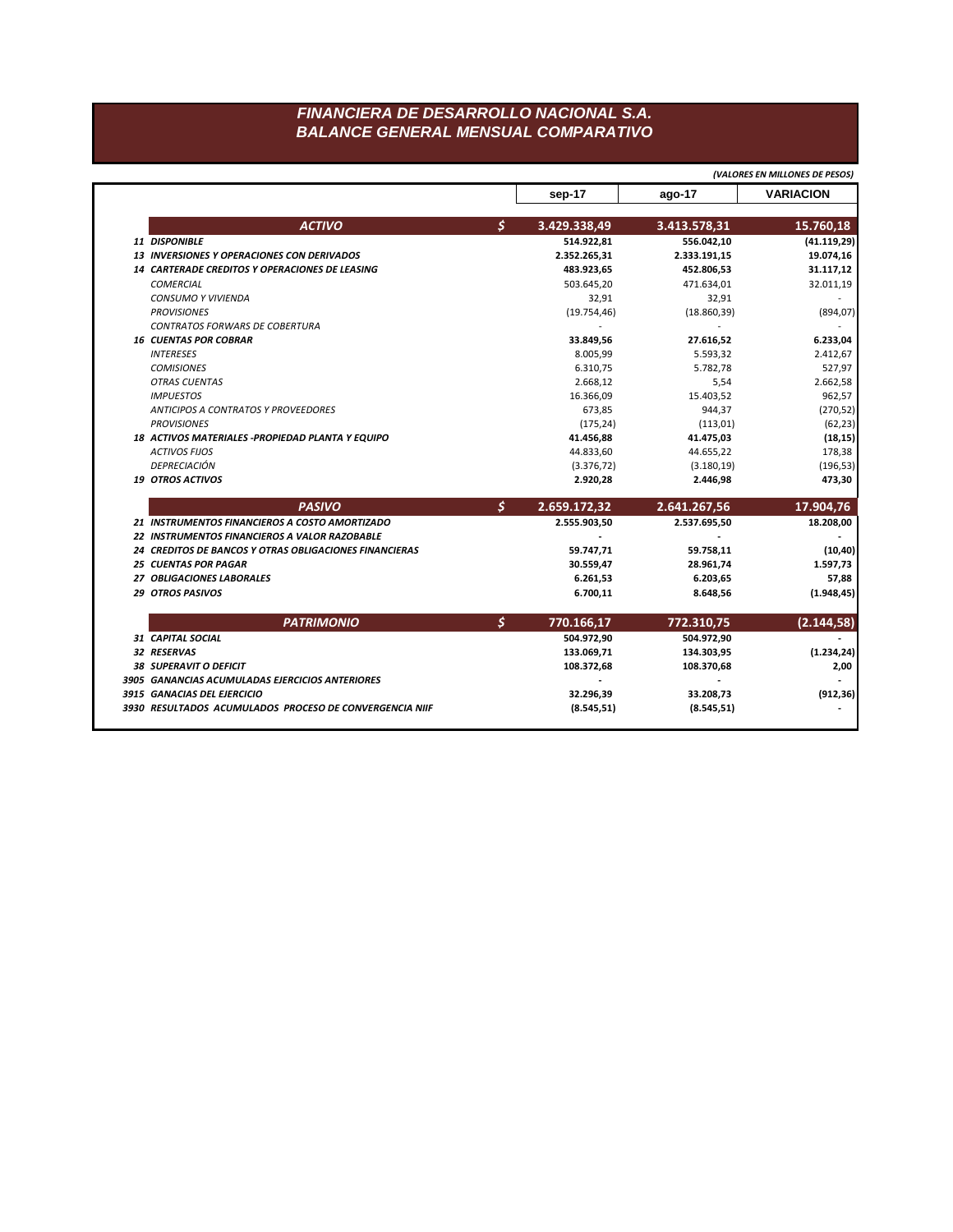## FINANCIERA DE DESARROLLO NACIONAL S.A. **BALANCE GENERAL MENSUAL COMPARATIVO**

|                                                        |                    |              | (VALORES EN MILLONES DE PESOS)                                                                                            |
|--------------------------------------------------------|--------------------|--------------|---------------------------------------------------------------------------------------------------------------------------|
|                                                        | sep-17             | ago-17       | <b>VARIACION</b>                                                                                                          |
| <b>ACTIVO</b>                                          | \$<br>3.429.338,49 | 3.413.578,31 | 15.760,18                                                                                                                 |
| 11 DISPONIBLE                                          | 514.922,81         | 556.042,10   | (41.119,29)                                                                                                               |
| <b>13 INVERSIONES Y OPERACIONES CON DERIVADOS</b>      | 2.352.265,31       | 2.333.191,15 | 19.074,16                                                                                                                 |
| <b>14 CARTERADE CREDITOS Y OPERACIONES DE LEASING</b>  | 483.923,65         | 452.806,53   | 31.117,12                                                                                                                 |
| <b>COMERCIAL</b>                                       | 503.645,20         | 471.634,01   | 32.011,19                                                                                                                 |
| CONSUMO Y VIVIENDA                                     | 32,91              | 32,91        |                                                                                                                           |
| <b>PROVISIONES</b>                                     | (19.754, 46)       | (18.860, 39) | (894, 07)                                                                                                                 |
| <b>CONTRATOS FORWARS DE COBERTURA</b>                  |                    |              |                                                                                                                           |
| <b>16 CUENTAS POR COBRAR</b>                           | 33.849,56          | 27.616,52    | 6.233,04                                                                                                                  |
| <b>INTERESES</b>                                       | 8.005,99           | 5.593,32     | 2.412,67                                                                                                                  |
| <b>COMISIONES</b>                                      | 6.310,75           | 5.782,78     | 527,97                                                                                                                    |
| <b>OTRAS CUENTAS</b>                                   | 2.668,12           | 5,54         | 2.662,58                                                                                                                  |
| <b>IMPUESTOS</b>                                       | 16.366,09          | 15.403,52    | 962,57                                                                                                                    |
| <b>ANTICIPOS A CONTRATOS Y PROVEEDORES</b>             | 673,85             | 944,37       | (270, 52)                                                                                                                 |
| <b>PROVISIONES</b>                                     | (175, 24)          | (113,01)     | (62, 23)                                                                                                                  |
| 18 ACTIVOS MATERIALES - PROPIEDAD PLANTA Y EQUIPO      | 41.456,88          | 41.475,03    | (18, 15)                                                                                                                  |
| <b>ACTIVOS FIJOS</b>                                   | 44.833,60          | 44.655,22    | 178,38                                                                                                                    |
| <b>DEPRECIACIÓN</b>                                    | (3.376, 72)        | (3.180, 19)  | (196, 53)                                                                                                                 |
| <b>19 OTROS ACTIVOS</b>                                | 2.920,28           | 2.446,98     | 473,30                                                                                                                    |
|                                                        |                    |              |                                                                                                                           |
| <b>PASIVO</b>                                          | \$<br>2.659.172,32 | 2.641.267,56 |                                                                                                                           |
| 21 INSTRUMENTOS FINANCIEROS A COSTO AMORTIZADO         | 2.555.903,50       | 2.537.695,50 |                                                                                                                           |
| 22 INSTRUMENTOS FINANCIEROS A VALOR RAZOBABLE          |                    |              |                                                                                                                           |
| 24 CREDITOS DE BANCOS Y OTRAS OBLIGACIONES FINANCIERAS | 59.747,71          | 59.758,11    |                                                                                                                           |
| <b>25 CUENTAS POR PAGAR</b>                            | 30.559,47          | 28.961,74    |                                                                                                                           |
| 27 OBLIGACIONES LABORALES                              | 6.261,53           | 6.203,65     |                                                                                                                           |
| <b>29 OTROS PASIVOS</b>                                | 6.700,11           | 8.648,56     |                                                                                                                           |
| <b>PATRIMONIO</b>                                      | \$<br>770.166,17   | 772.310,75   |                                                                                                                           |
| 31 CAPITAL SOCIAL                                      | 504.972,90         | 504.972,90   |                                                                                                                           |
| 32 RESERVAS                                            | 133.069,71         | 134.303,95   |                                                                                                                           |
| <b>38 SUPERAVIT O DEFICIT</b>                          | 108.372,68         | 108.370,68   |                                                                                                                           |
| 3905 GANANCIAS ACUMULADAS EJERCICIOS ANTERIORES        |                    |              |                                                                                                                           |
| 3915 GANACIAS DEL EJERCICIO                            | 32.296,39          | 33.208,73    | 17.904,76<br>18.208,00<br>(10, 40)<br>1.597,73<br>57,88<br>(1.948, 45)<br>(2.144, 58)<br>(1.234, 24)<br>2,00<br>(912, 36) |